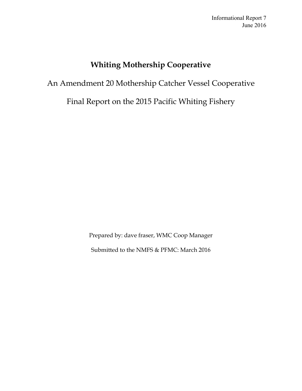# **Whiting Mothership Cooperative**

# An Amendment 20 Mothership Catcher Vessel Cooperative

Final Report on the 2015 Pacific Whiting Fishery

Prepared by: dave fraser, WMC Coop Manager Submitted to the NMFS & PFMC: March 2016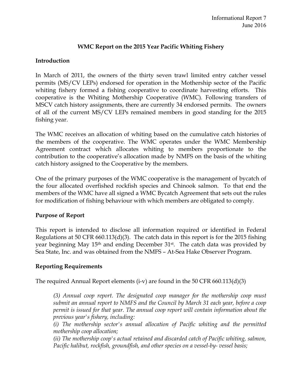# **WMC Report on the 2015 Year Pacific Whiting Fishery**

# **Introduction**

In March of 2011, the owners of the thirty seven trawl limited entry catcher vessel permits (MS/CV LEPs) endorsed for operation in the Mothership sector of the Pacific whiting fishery formed a fishing cooperative to coordinate harvesting efforts. This cooperative is the Whiting Mothership Cooperative (WMC). Following transfers of MSCV catch history assignments, there are currently 34 endorsed permits. The owners of all of the current MS/CV LEPs remained members in good standing for the 2015 fishing year.

The WMC receives an allocation of whiting based on the cumulative catch histories of the members of the cooperative. The WMC operates under the WMC Membership Agreement contract which allocates whiting to members proportionate to the contribution to the cooperative's allocation made by NMFS on the basis of the whiting catch history assigned to the Cooperative by the members.

One of the primary purposes of the WMC cooperative is the management of bycatch of the four allocated overfished rockfish species and Chinook salmon. To that end the members of the WMC have all signed a WMC Bycatch Agreement that sets out the rules for modification of fishing behaviour with which members are obligated to comply.

# **Purpose of Report**

This report is intended to disclose all information required or identified in Federal Regulations at 50 CFR 660.113(d)(3). The catch data in this report is for the 2015 fishing year beginning May 15th and ending December 31st. The catch data was provided by Sea State, Inc. and was obtained from the NMFS – At-Sea Hake Observer Program.

# **Reporting Requirements**

The required Annual Report elements (i-v) are found in the 50 CFR 660.113(d)(3)

*(3) Annual coop report. The designated coop manager for the mothership coop must submit an annual report to NMFS and the Council by March 31 each year, before a coop permit is issued for that year. The annual coop report will contain information about the previous year's fishery, including:* 

*(i) The mothership sector's annual allocation of Pacific whiting and the permitted mothership coop allocation;*

*(ii) The mothership coop's actual retained and discarded catch of Pacific whiting, salmon, Pacific halibut, rockfish, groundfish, and other species on a vessel-by- vessel basis;*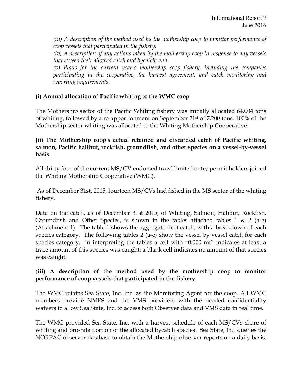*(iii) A description of the method used by the mothership coop to monitor performance of coop vessels that participated in the fishery;*

*(iv) A description of any actions taken by the mothership coop in response to any vessels that exceed their allowed catch and bycatch; and*

*(v) Plans for the current year's mothership coop fishery, including the companies participating in the cooperative, the harvest agreement, and catch monitoring and reporting requirements.* 

# **(i) Annual allocation of Pacific whiting to the WMC coop**

The Mothership sector of the Pacific Whiting fishery was initially allocated 64,004 tons of whiting, followed by a re-apportionment on September 21st of 7,200 tons. 100% of the Mothership sector whiting was allocated to the Whiting Mothership Cooperative.

### **(ii) The Mothership coop's actual retained and discarded catch of Pacific whiting, salmon, Pacific halibut, rockfish, groundfish, and other species on a vessel-by-vessel basis**

All thirty four of the current MS/CV endorsed trawl limited entry permit holders joined the Whiting Mothership Cooperative (WMC).

As of December 31st, 2015, fourteen MS/CVs had fished in the MS sector of the whiting fishery.

Data on the catch, as of December 31st 2015, of Whiting, Salmon, Halibut, Rockfish, Groundfish and Other Species, is shown in the tables attached tables 1  $\&$  2 (a-e) (Attachment 1). The table 1 shows the aggregate fleet catch, with a breakdown of each species category. The following tables 2 (a-e) show the vessel by vessel catch for each species category. In interpreting the tables a cell with "0.000 mt" indicates at least a trace amount of this species was caught; a blank cell indicates no amount of that species was caught.

# *(***iii) A description of the method used by the mothership coop to monitor performance of coop vessels that participated in the fishery**

The WMC retains Sea State, Inc. Inc. as the Monitoring Agent for the coop. All WMC members provide NMFS and the VMS providers with the needed confidentiality waivers to allow Sea State, Inc. to access both Observer data and VMS data in real time.

The WMC provided Sea State, Inc. with a harvest schedule of each MS/CVs share of whiting and pro-rata portion of the allocated bycatch species. Sea State, Inc. queries the NORPAC observer database to obtain the Mothership observer reports on a daily basis.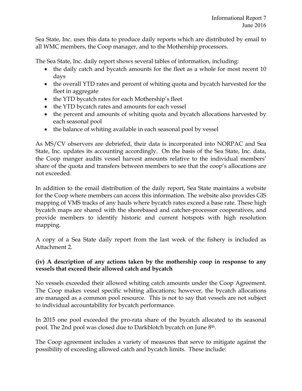Sea State, Inc. uses this data to produce daily reports which are distributed by email to all WMC members, the Coop manager, and to the Mothership processors.

The Sea State, Inc. daily report shows several tables of information, including:

- the daily catch and bycatch amounts for the fleet as a whole for most recent 10 days
- the overall YTD rates and percent of whiting quota and bycatch harvested for the fleet in aggregate
- the YTD bycatch rates for each Mothership's fleet
- the YTD bycatch rates and amounts for each vessel
- the percent and amounts of whiting quota and bycatch allocations harvested by each seasonal pool
- the balance of whiting available in each seasonal pool by vessel

As MS/CV observers are debriefed, their data is incorporated into NORPAC and Sea State, Inc. updates its accounting accordingly. On the basis of the Sea State, Inc. data, the Coop manger audits vessel harvest amounts relative to the individual members' share of the quota and transfers between members to see that the coop's allocations are not exceeded.

In addition to the email distribution of the daily report, Sea State maintains a website for the Coop where members can access this information. The website also provides GIS mapping of VMS tracks of any hauls where bycatch rates exceed a base rate. These high bycatch maps are shared with the shorebased and catcher-processor cooperatives, and provide members to identify historic and current hotspots with high resolution mapping.

A copy of a Sea State daily report from the last week of the fishery is included as Attachment 2.

# **(iv) A description of any actions taken by the mothership coop in response to any vessels that exceed their allowed catch and bycatch**

No vessels exceeded their allowed whiting catch amounts under the Coop Agreement. The Coop makes vessel specific whiting allocations; however, the bycatch allocations are managed as a common pool resource. This is not to say that vessels are not subject to individual accountability for bycatch performance.

In 2015 one pool exceeded the pro-rata share of the bycatch allocated to its seasonal pool. The 2nd pool was closed due to Darkblotch bycatch on June 8th.

The Coop agreement includes a variety of measures that serve to mitigate against the possibility of exceeding allowed catch and bycatch limits. These include: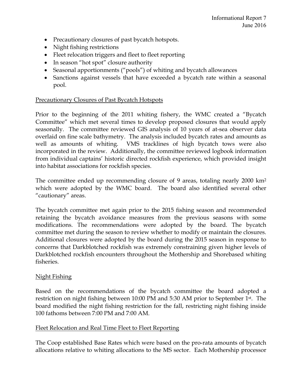- Precautionary closures of past bycatch hotspots.
- Night fishing restrictions
- Fleet relocation triggers and fleet to fleet reporting
- In season "hot spot" closure authority
- Seasonal apportionments ("pools") of whiting and bycatch allowances
- Sanctions against vessels that have exceeded a bycatch rate within a seasonal pool.

# Precautionary Closures of Past Bycatch Hotspots

Prior to the beginning of the 2011 whiting fishery, the WMC created a "Bycatch Committee" which met several times to develop proposed closures that would apply seasonally. The committee reviewed GIS analysis of 10 years of at-sea observer data overlaid on fine scale bathymetry. The analysis included bycatch rates and amounts as well as amounts of whiting. VMS tracklines of high bycatch tows were also incorporated in the review. Additionally, the committee reviewed logbook information from individual captains' historic directed rockfish experience, which provided insight into habitat associations for rockfish species.

The committee ended up recommending closure of 9 areas, totaling nearly 2000 km2 which were adopted by the WMC board. The board also identified several other "cautionary" areas.

The bycatch committee met again prior to the 2015 fishing season and recommended retaining the bycatch avoidance measures from the previous seasons with some modifications. The recommendations were adopted by the board. The bycatch committee met during the season to review whether to modify or maintain the closures. Additional closures were adopted by the board during the 2015 season in response to concerns that Darkblotched rockfish was extremely constraining given higher levels of Darkblotched rockfish encounters throughout the Mothership and Shorebased whiting fisheries.

# Night Fishing

Based on the recommendations of the bycatch committee the board adopted a restriction on night fishing between 10:00 PM and 5:30 AM prior to September 1st. The board modified the night fishing restriction for the fall, restricting night fishing inside 100 fathoms between 7:00 PM and 7:00 AM.

# Fleet Relocation and Real Time Fleet to Fleet Reporting

The Coop established Base Rates which were based on the pro-rata amounts of bycatch allocations relative to whiting allocations to the MS sector. Each Mothership processor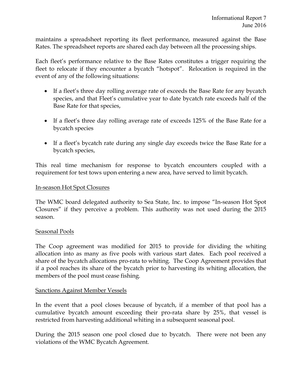maintains a spreadsheet reporting its fleet performance, measured against the Base Rates. The spreadsheet reports are shared each day between all the processing ships.

Each fleet's performance relative to the Base Rates constitutes a trigger requiring the fleet to relocate if they encounter a bycatch "hotspot". Relocation is required in the event of any of the following situations:

- If a fleet's three day rolling average rate of exceeds the Base Rate for any bycatch species, and that Fleet's cumulative year to date bycatch rate exceeds half of the Base Rate for that species,
- If a fleet's three day rolling average rate of exceeds 125% of the Base Rate for a bycatch species
- If a fleet's bycatch rate during any single day exceeds twice the Base Rate for a bycatch species,

This real time mechanism for response to bycatch encounters coupled with a requirement for test tows upon entering a new area, have served to limit bycatch.

### In-season Hot Spot Closures

The WMC board delegated authority to Sea State, Inc. to impose "In-season Hot Spot Closures" if they perceive a problem. This authority was not used during the 2015 season.

### Seasonal Pools

The Coop agreement was modified for 2015 to provide for dividing the whiting allocation into as many as five pools with various start dates. Each pool received a share of the bycatch allocations pro-rata to whiting. The Coop Agreement provides that if a pool reaches its share of the bycatch prior to harvesting its whiting allocation, the members of the pool must cease fishing.

### Sanctions Against Member Vessels

In the event that a pool closes because of bycatch, if a member of that pool has a cumulative bycatch amount exceeding their pro-rata share by 25%, that vessel is restricted from harvesting additional whiting in a subsequent seasonal pool.

During the 2015 season one pool closed due to bycatch. There were not been any violations of the WMC Bycatch Agreement.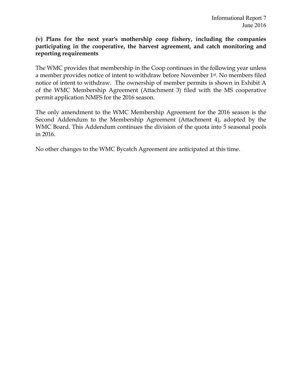### **(v) Plans for the next year's mothership coop fishery, including the companies participating in the cooperative, the harvest agreement, and catch monitoring and reporting requirements**

The WMC provides that membership in the Coop continues in the following year unless a member provides notice of intent to withdraw before November 1st. No members filed notice of intent to withdraw. The ownership of member permits is shown in Exhibit A of the WMC Membership Agreement (Attachment 3) filed with the MS cooperative permit application NMFS for the 2016 season.

The only amendment to the WMC Membership Agreement for the 2016 season is the Second Addendum to the Membership Agreement (Attachment 4), adopted by the WMC Board. This Addendum continues the division of the quota into 5 seasonal pools in 2016.

No other changes to the WMC Bycatch Agreement are anticipated at this time.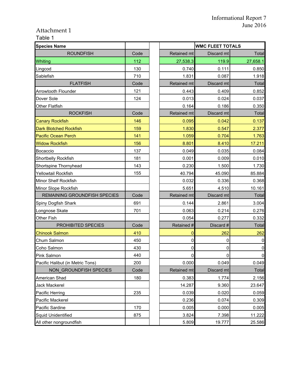$\overline{\phantom{0}}$ 

 $\overline{\phantom{a}}$ 

# Attachment 1

# Table 1

| <b>Species Name</b>              |      |                    | <b>WMC FLEET TOTALS</b> |             |  |  |  |
|----------------------------------|------|--------------------|-------------------------|-------------|--|--|--|
| <b>ROUNDFISH</b>                 | Code | Retained mt        | Discard mt              | Total       |  |  |  |
| Whiting                          | 112  | 27,538.3           | 119.9                   | 27,658.1    |  |  |  |
| Lingcod                          | 130  | 0.740              | 0.111                   | 0.850       |  |  |  |
| Sablefish                        | 710  | 1.831              | 0.087                   | 1.918       |  |  |  |
| <b>FLATFISH</b>                  | Code | <b>Retained mt</b> | Discard mt              | Total       |  |  |  |
| <b>Arrowtooth Flounder</b>       | 121  | 0.443              | 0.409                   | 0.852       |  |  |  |
| Dover Sole                       | 124  | 0.013              | 0.024                   | 0.037       |  |  |  |
| Other Flatfish                   |      | 0.164              | 0.186                   | 0.350       |  |  |  |
| <b>ROCKFISH</b>                  | Code | Retained mt        | Discard mt              | Total       |  |  |  |
| <b>Canary Rockfish</b>           | 146  | 0.095              | 0.042                   | 0.137       |  |  |  |
| <b>Dark Blotched Rockfish</b>    | 159  | 1.830              | 0.547                   | 2.377       |  |  |  |
| <b>Pacific Ocean Perch</b>       | 141  | 1.059              | 0.704                   | 1.763       |  |  |  |
| <b>Widow Rockfish</b>            | 156  | 8.801              | 8.410                   | 17.211      |  |  |  |
| Bocaccio                         | 137  | 0.049              | 0.035                   | 0.084       |  |  |  |
| Shortbelly Rockfish              | 181  | 0.001              | 0.009                   | 0.010       |  |  |  |
| Shortspine Thornyhead            | 143  | 0.230              | 1.500                   | 1.730       |  |  |  |
| <b>Yellowtail Rockfish</b>       | 155  | 40.794             | 45.090                  | 85.884      |  |  |  |
| Minor Shelf Rockfish             |      | 0.032              | 0.336                   | 0.368       |  |  |  |
| Minor Slope Rockfish             |      | 5.651              | 4.510                   | 10.161      |  |  |  |
| REMAINING GROUNDFISH SPECIES     | Code | Retained mt        | Discard mt              | Total       |  |  |  |
| Spiny Dogfish Shark              | 691  | 0.144              | 2.861                   | 3.004       |  |  |  |
| Longnose Skate                   | 701  | 0.063              | 0.214                   | 0.276       |  |  |  |
| Other Fish                       |      | 0.054              | 0.277                   | 0.332       |  |  |  |
| PROHIBITED SPECIES               | Code | Retained #         | Discard #               | Total       |  |  |  |
| <b>Chinook Salmon</b>            | 410  | 0                  | 262                     | 262         |  |  |  |
| Chum Salmon                      | 450  | 0                  | 0                       | 0           |  |  |  |
| Coho Salmon                      | 430  | 0                  | 0                       | $\mathbf 0$ |  |  |  |
| Pink Salmon                      | 440  | 0                  | 0                       | $\mathbf 0$ |  |  |  |
| Pacific Halibut (in Metric Tons) | 200  | 0.000              | 0.049                   | 0.049       |  |  |  |
| NON GROUNDFISH SPECIES           | Code | Retained mt        | Discard mt              | Total       |  |  |  |
| American Shad                    | 180  | 0.383              | 1.774                   | 2.156       |  |  |  |
| Jack Mackerel                    |      | 14.287             | 9.360                   | 23.647      |  |  |  |
| Pacific Herring                  | 235  | 0.039              | 0.020                   | 0.059       |  |  |  |
| Pacific Mackerel                 |      | 0.236              | 0.074                   | 0.309       |  |  |  |
| Pacific Sardine                  | 170  | 0.005              | 0.000                   | 0.005       |  |  |  |
| <b>Squid Unidentified</b>        | 875  | 3.824              | 7.398                   | 11.222      |  |  |  |
| All other nongroundfish          |      | 5.809              | 19.777                  | 25.586      |  |  |  |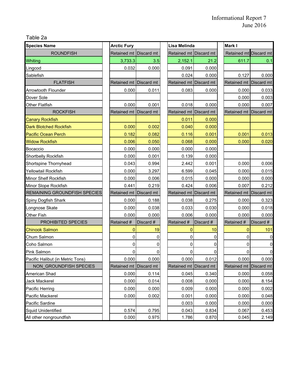Table 2a

| <b>Species Name</b>              | <b>Arctic Fury</b>     |                   | Lisa Melinda           |           | Mark I                 |                |
|----------------------------------|------------------------|-------------------|------------------------|-----------|------------------------|----------------|
| <b>ROUNDFISH</b>                 | Retained mt            | Discard mt        | Retained mt Discard mt |           | Retained mt Discard mt |                |
| Whiting                          | 3,733.3                | 3.5               | 2,152.1                | 21.2      | 611.7                  | 0.1            |
| Lingcod                          | 0.032                  | 0.000             | 0.091                  | 0.000     |                        |                |
| Sablefish                        |                        |                   | 0.024                  | 0.000     | 0.127                  | 0.000          |
| <b>FLATFISH</b>                  | <b>Retained mt</b>     | <b>Discard mt</b> | Retained mt Discard mt |           | Retained mt Discard mt |                |
| Arrowtooth Flounder              | 0.000                  | 0.011             | 0.083                  | 0.000     | 0.000                  | 0.033          |
| Dover Sole                       |                        |                   |                        |           | 0.000                  | 0.003          |
| <b>Other Flatfish</b>            | 0.000                  | 0.001             | 0.018                  | 0.000     | 0.000                  | 0.007          |
| <b>ROCKFISH</b>                  | <b>Retained mt</b>     | Discard mt        | Retained mt Discard mt |           | Retained mt            | Discard mt     |
| <b>Canary Rockfish</b>           |                        |                   | 0.011                  | 0.000     |                        |                |
| <b>Dark Blotched Rockfish</b>    | 0.000                  | 0.002             | 0.040                  | 0.000     |                        |                |
| <b>Pacific Ocean Perch</b>       | 0.182                  | 0.082             | 0.116                  | 0.001     | 0.001                  | 0.013          |
| <b>Widow Rockfish</b>            | 0.006                  | 0.050             | 0.068                  | 0.000     | 0.000                  | 0.020          |
| Bocaccio                         | 0.000                  | 0.000             | 0.000                  | 0.000     |                        |                |
| Shortbelly Rockfish              | 0.000                  | 0.001             | 0.139                  | 0.000     |                        |                |
| Shortspine Thornyhead            | 0.043                  | 0.994             | 2.442                  | 0.001     | 0.000                  | 0.006          |
| Yellowtail Rockfish              | 0.000                  | 3.297             | 6.599                  | 0.045     | 0.000                  | 0.015          |
| <b>Minor Shelf Rockfish</b>      | 0.000                  | 0.006             | 0.015                  | 0.000     | 0.000                  | 0.000          |
| Minor Slope Rockfish             | 0.441                  | 0.219             | 0.424                  | 0.006     | 0.007                  | 0.212          |
| REMAINING GROUNDFISH SPECIES     | Retained mt            | Discard mt        | Retained mt Discard mt |           | Retained mt Discard mt |                |
| Spiny Dogfish Shark              | 0.000                  | 0.188             | 0.038                  | 0.275     | 0.000                  | 0.323          |
| Longnose Skate                   | 0.000                  | 0.038             | 0.033                  | 0.030     | 0.000                  | 0.018          |
| Other Fish                       | 0.000                  | 0.000             | 0.006                  | 0.000     | 0.000                  | 0.000          |
| <b>PROHIBITED SPECIES</b>        | Retained #             | Discard #         | Retained #             | Discard # | Retained #             | Discard #      |
| <b>Chinook Salmon</b>            | $\overline{0}$         | 19                | 0                      | 10        | 0                      | 101            |
| Chum Salmon                      | 0                      | 0                 | 0                      | 0         | 0                      | $\pmb{0}$      |
| Coho Salmon                      | 0                      | 0                 | 0                      | 0         | 0                      | $\overline{0}$ |
| Pink Salmon                      | 0                      |                   | 0                      | 0         | 0                      | $\overline{0}$ |
| Pacific Halibut (in Metric Tons) | 0.000                  | 0.000             | 0.000                  | 0.012     | 0.000                  | 0.000          |
| NON_GROUNDFISH SPECIES           | Retained mt Discard mt |                   | Retained mt Discard mt |           | Retained mt Discard mt |                |
| American Shad                    | 0.000                  | 0.114             | 0.045                  | 0.340     | 0.000                  | 0.058          |
| <b>Jack Mackerel</b>             | 0.000                  | 0.014             | 0.008                  | 0.000     | 0.000                  | 8.154          |
| Pacific Herring                  | 0.000                  | 0.000             | 0.009                  | 0.000     | 0.000                  | 0.002          |
| Pacific Mackerel                 | 0.000                  | 0.002             | 0.001                  | 0.000     | 0.000                  | 0.048          |
| Pacific Sardine                  |                        |                   | 0.003                  | 0.000     | 0.000                  | 0.000          |
| <b>Squid Unidentified</b>        | 0.574                  | 0.795             | 0.043                  | 0.834     | 0.067                  | 0.453          |
| All other nongroundfish          | 0.000                  | 0.975             | 1.786                  | 0.870     | 0.045                  | 2.149          |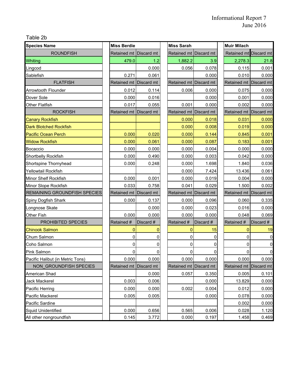Table 2b

| <b>Species Name</b>                 | <b>Miss Berdie</b>     |            | <b>Miss Sarah</b>      |              | <b>Muir Milach</b>     |                |
|-------------------------------------|------------------------|------------|------------------------|--------------|------------------------|----------------|
| <b>ROUNDFISH</b>                    | <b>Retained mt</b>     | Discard mt | <b>Retained mt</b>     | Discard mt   | Retained mt Discard mt |                |
| Whiting                             | 479.0                  | 1.2        | 1,882.2                | 3.9          | 2,278.3                | 21.8           |
| Lingcod                             |                        | 0.000      | 0.056                  | 0.078        | 0.115                  | 0.001          |
| Sablefish                           | 0.271                  | 0.061      |                        | 0.000        | 0.010                  | 0.000          |
| <b>FLATFISH</b>                     | Retained mt Discard mt |            | Retained mt Discard mt |              | Retained mt            | Discard mt     |
| <b>Arrowtooth Flounder</b>          | 0.012                  | 0.114      | 0.006                  | 0.000        | 0.075                  | 0.000          |
| Dover Sole                          | 0.000                  | 0.016      |                        | 0.000        | 0.001                  | 0.000          |
| <b>Other Flatfish</b>               | 0.017                  | 0.055      | 0.001                  | 0.000        | 0.002                  | 0.000          |
| <b>ROCKFISH</b>                     | Retained mt            | Discard mt | Retained mt Discard mt |              | Retained mt            | Discard mt     |
| <b>Canary Rockfish</b>              |                        |            | 0.000                  | 0.018        | 0.031                  | 0.000          |
| <b>Dark Blotched Rockfish</b>       |                        |            | 0.000                  | 0.008        | 0.019                  | 0.000          |
| <b>Pacific Ocean Perch</b>          | 0.000                  | 0.020      | 0.000                  | 0.144        | 0.845                  | 0.001          |
| <b>Widow Rockfish</b>               | 0.000                  | 0.061      | 0.000                  | 0.087        | 0.183                  | 0.001          |
| Bocaccio                            | 0.000                  | 0.000      | 0.000                  | 0.004        | 0.000                  | 0.000          |
| Shortbelly Rockfish                 | 0.000                  | 0.490      | 0.000                  | 0.003        | 0.042                  | 0.000          |
| Shortspine Thornyhead               | 0.000                  | 0.248      | 0.000                  | 1.698        | 1.840                  | 0.036          |
| Yellowtail Rockfish                 |                        |            | 0.000                  | 7.424        | 13.436                 | 0.061          |
| Minor Shelf Rockfish                | 0.000                  | 0.001      | 0.000                  | 0.019        | 0.004                  | 0.000          |
| Minor Slope Rockfish                | 0.033                  | 0.758      | 0.041                  | 0.029        | 1.500                  | 0.002          |
| <b>REMAINING GROUNDFISH SPECIES</b> | Retained mt Discard mt |            | Retained mt Discard mt |              | Retained mt Discard mt |                |
| Spiny Dogfish Shark                 | 0.000                  | 0.137      | 0.000                  | 0.096        | 0.060                  | 0.335          |
| Longnose Skate                      |                        | 0.000      | 0.000                  | 0.023        | 0.016                  | 0.000          |
| Other Fish                          | 0.000                  | 0.000      | 0.000                  | 0.000        | 0.048                  | 0.069          |
| PROHIBITED SPECIES                  | Retained #             | Discard #  | Retained #             | Discard #    | Retained #             | Discard #      |
| <b>Chinook Salmon</b>               | $\overline{0}$         | 0          | $\overline{0}$         | 15           | $\overline{0}$         | 19             |
| Chum Salmon                         | 0                      | 0          | 0                      | 0            | 0                      | $\pmb{0}$      |
| Coho Salmon                         | 0                      | 0          | 0                      | $\mathbf{0}$ | 0                      | $\overline{0}$ |
| Pink Salmon                         | 0                      |            | 0                      | 0            | 0                      | $\overline{0}$ |
| Pacific Halibut (in Metric Tons)    | 0.000                  | 0.000      | 0.000                  | 0.000        | 0.000                  | 0.000          |
| NON_GROUNDFISH SPECIES              | Retained mt Discard mt |            | Retained mt Discard mt |              | Retained mt Discard mt |                |
| American Shad                       |                        | 0.000      | 0.057                  | 0.350        | 0.005                  | 0.101          |
| Jack Mackerel                       | 0.003                  | 0.006      |                        | 0.000        | 13.829                 | 0.000          |
| Pacific Herring                     | 0.000                  | 0.000      | 0.002                  | 0.004        | 0.012                  | 0.000          |
| Pacific Mackerel                    | 0.005                  | 0.005      |                        | 0.000        | 0.078                  | 0.000          |
| Pacific Sardine                     |                        |            |                        |              | 0.002                  | 0.000          |
| <b>Squid Unidentified</b>           | 0.000                  | 0.656      | 0.565                  | 0.006        | 0.028                  | 1.120          |
| All other nongroundfish             | 0.145                  | 3.772      | 0.000                  | 0.197        | 1.458                  | 0.469          |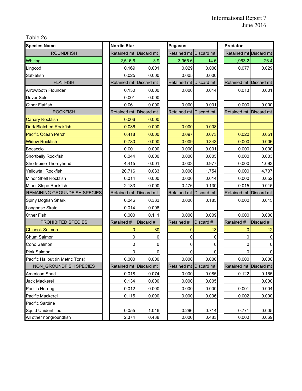Table 2c

| <b>Species Name</b>              | <b>Nordic Star</b>     |            | Pegasus                |              |  | Predator               |                |  |
|----------------------------------|------------------------|------------|------------------------|--------------|--|------------------------|----------------|--|
| <b>ROUNDFISH</b>                 | Retained mt            | Discard mt | Retained mt            | Discard mt   |  | Retained mt Discard mt |                |  |
| <b>Whiting</b>                   | 2,516.6                | 3.9        | 3,965.6                | 14.6         |  | 1,963.2                | 26.4           |  |
| Lingcod                          | 0.169                  | 0.001      | 0.029                  | 0.000        |  | 0.077                  | 0.029          |  |
| Sablefish                        | 0.025                  | 0.000      | 0.005                  | 0.000        |  |                        |                |  |
| <b>FLATFISH</b>                  | Retained mt Discard mt |            | Retained mt Discard mt |              |  | Retained mt Discard mt |                |  |
| <b>Arrowtooth Flounder</b>       | 0.130                  | 0.000      | 0.000                  | 0.014        |  | 0.013                  | 0.001          |  |
| Dover Sole                       | 0.001                  | 0.000      |                        |              |  |                        |                |  |
| <b>Other Flatfish</b>            | 0.061                  | 0.000      | 0.000                  | 0.001        |  | 0.000                  | 0.000          |  |
| <b>ROCKFISH</b>                  | Retained mt Discard mt |            | Retained mt Discard mt |              |  | <b>Retained mt</b>     | Discard mt     |  |
| <b>Canary Rockfish</b>           | 0.006                  | 0.000      |                        |              |  |                        |                |  |
| <b>Dark Blotched Rockfish</b>    | 0.036                  | 0.000      | 0.000                  | 0.008        |  |                        |                |  |
| <b>Pacific Ocean Perch</b>       | 0.418                  | 0.000      | 0.097                  | 0.073        |  | 0.020                  | 0.051          |  |
| <b>Widow Rockfish</b>            | 0.780                  | 0.000      | 0.009                  | 0.343        |  | 0.000                  | 0.006          |  |
| Bocaccio                         | 0.001                  | 0.000      | 0.000                  | 0.001        |  | 0.000                  | 0.000          |  |
| Shortbelly Rockfish              | 0.044                  | 0.000      | 0.000                  | 0.005        |  | 0.000                  | 0.003          |  |
| Shortspine Thornyhead            | 4.415                  | 0.001      | 0.003                  | 0.977        |  | 0.000                  | 1.093          |  |
| Yellowtail Rockfish              | 20.716                 | 0.033      | 0.000                  | 1.754        |  | 0.000                  | 4.707          |  |
| Minor Shelf Rockfish             | 0.014                  | 0.000      | 0.000                  | 0.014        |  | 0.000                  | 0.052          |  |
| Minor Slope Rockfish             | 2.133                  | 0.000      | 0.476                  | 0.130        |  | 0.015                  | 0.015          |  |
| REMAINING GROUNDFISH SPECIES     | Retained mt            | Discard mt | Retained mt Discard mt |              |  | Retained mt Discard mt |                |  |
| Spiny Dogfish Shark              | 0.046                  | 0.333      | 0.000                  | 0.185        |  | 0.000                  | 0.015          |  |
| Longnose Skate                   | 0.014                  | 0.008      |                        |              |  |                        |                |  |
| Other Fish                       | 0.000                  | 0.111      | 0.000                  | 0.009        |  | 0.000                  | 0.000          |  |
| PROHIBITED SPECIES               | Retained #             | Discard #  | Retained #             | Discard #    |  | Retained #             | Discard #      |  |
| <b>Chinook Salmon</b>            | $\mathbf{0}$           | 30         | $\mathbf 0$            | 13           |  | $\overline{0}$         | 12             |  |
| Chum Salmon                      | 0                      | 0          | 0                      | 0            |  | 0                      | $\pmb{0}$      |  |
| Coho Salmon                      | 0                      | 0          | 0                      | $\mathbf{0}$ |  | 0                      | $\overline{0}$ |  |
| Pink Salmon                      | 0                      |            | 0                      | 0            |  | 0                      | $\overline{0}$ |  |
| Pacific Halibut (in Metric Tons) | 0.000                  | 0.000      | 0.000                  | 0.000        |  | 0.000                  | 0.000          |  |
| NON GROUNDFISH SPECIES           | Retained mt Discard mt |            | Retained mt Discard mt |              |  | Retained mt Discard mt |                |  |
| American Shad                    | 0.018                  | 0.074      | 0.000                  | 0.085        |  | 0.122                  | 0.165          |  |
| Jack Mackerel                    | 0.134                  | 0.000      | 0.000                  | 0.005        |  |                        | 0.000          |  |
| Pacific Herring                  | 0.012                  | 0.000      | 0.000                  | 0.000        |  | 0.001                  | 0.004          |  |
| Pacific Mackerel                 | 0.115                  | 0.000      | 0.000                  | 0.006        |  | 0.002                  | 0.000          |  |
| Pacific Sardine                  |                        |            |                        |              |  |                        |                |  |
| <b>Squid Unidentified</b>        | 0.055                  | 1.046      | 0.296                  | 0.714        |  | 0.771                  | 0.005          |  |
| All other nongroundfish          | 2.374                  | 0.438      | 0.000                  | 0.483        |  | 0.000                  | 0.069          |  |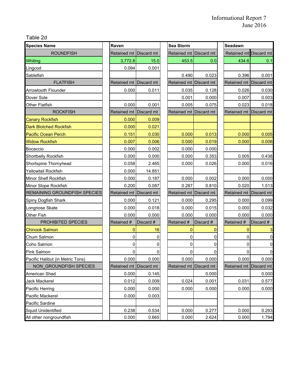Table 2d

| <b>Species Name</b>                 | Raven                  |            | <b>Sea Storm</b>       |              | Seadawn                |                |
|-------------------------------------|------------------------|------------|------------------------|--------------|------------------------|----------------|
| <b>ROUNDFISH</b>                    | Retained mt            | Discard mt | <b>Retained mt</b>     | Discard mt   | Retained mt            | Discard mt     |
| Whiting                             | 3,772.8                | 15.0       | 453.5                  | 0.0          | 434.6                  | 0.1            |
| Lingcod                             | 0.094                  | 0.001      |                        |              |                        |                |
| Sablefish                           |                        |            | 0.490                  | 0.023        | 0.396                  | 0.001          |
| <b>FLATFISH</b>                     | Retained mt Discard mt |            | Retained mt Discard mt |              | Retained mt            | Discard mt     |
| <b>Arrowtooth Flounder</b>          | 0.000                  | 0.011      | 0.035                  | 0.128        | 0.026                  | 0.030          |
| Dover Sole                          |                        |            | 0.001                  | 0.000        | 0.007                  | 0.003          |
| <b>Other Flatfish</b>               | 0.000                  | 0.001      | 0.005                  | 0.075        | 0.023                  | 0.018          |
| <b>ROCKFISH</b>                     | Retained mt Discard mt |            | Retained mt            | Discard mt   | Retained mt            | Discard mt     |
| <b>Canary Rockfish</b>              | 0.000                  | 0.009      |                        |              |                        |                |
| <b>Dark Blotched Rockfish</b>       | 0.000                  | 0.021      |                        |              |                        |                |
| <b>Pacific Ocean Perch</b>          | 0.151                  | 0.030      | 0.000                  | 0.013        | 0.000                  | 0.005          |
| <b>Widow Rockfish</b>               | 0.007                  | 0.006      | 0.000                  | 0.019        | 0.000                  | 0.006          |
| Bocaccio                            | 0.000                  | 0.002      | 0.000                  | 0.000        |                        |                |
| Shortbelly Rockfish                 | 0.000                  | 0.000      | 0.000                  | 0.353        | 0.005                  | 0.438          |
| Shortspine Thornyhead               | 0.058                  | 2.465      | 0.000                  | 0.026        | 0.000                  | 0.016          |
| Yellowtail Rockfish                 | 0.000                  | 14.851     |                        |              |                        |                |
| Minor Shelf Rockfish                | 0.000                  | 0.187      | 0.000                  | 0.002        | 0.000                  | 0.000          |
| Minor Slope Rockfish                | 0.200                  | 0.087      | 0.287                  | 0.810        | 0.020                  | 1.513          |
| <b>REMAINING GROUNDFISH SPECIES</b> | Retained mt            | Discard mt | Retained mt Discard mt |              | Retained mt Discard mt |                |
| Spiny Dogfish Shark                 | 0.000                  | 0.121      | 0.000                  | 0.295        | 0.000                  | 0.099          |
| Longnose Skate                      | 0.000                  | 0.018      | 0.000                  | 0.015        | 0.000                  | 0.032          |
| Other Fish                          | 0.000                  | 0.000      | 0.000                  | 0.000        | 0.000                  | 0.000          |
| PROHIBITED SPECIES                  | Retained #             | Discard #  | Retained #             | Discard #    | Retained #             | Discard #      |
| <b>Chinook Salmon</b>               | $\mathbf{0}$           | 16         | $\overline{0}$         | $\mathbf{0}$ | 0                      | $\mathbf{3}$   |
| Chum Salmon                         | 0                      | 0          | 0                      | 0            | 0                      | $\overline{0}$ |
| Coho Salmon                         | 0                      | 0          | 0                      | 0            | 0                      | $\overline{0}$ |
| Pink Salmon                         | 0                      |            | 0                      | 0            | 0                      | $\overline{0}$ |
| Pacific Halibut (in Metric Tons)    | 0.000                  | 0.000      | 0.000                  | 0.000        | 0.000                  | 0.000          |
| NON_GROUNDFISH SPECIES              | Retained mt Discard mt |            | Retained mt Discard mt |              | Retained mt Discard mt |                |
| American Shad                       | 0.000                  | 0.145      |                        | 0.000        |                        | 0.000          |
| Jack Mackerel                       | 0.012                  | 0.009      | 0.024                  | 0.001        | 0.031                  | 0.577          |
| Pacific Herring                     | 0.000                  | 0.000      | 0.000                  | 0.000        | 0.000                  | 0.000          |
| Pacific Mackerel                    | 0.000                  | 0.003      |                        |              |                        |                |
| Pacific Sardine                     |                        |            |                        |              |                        |                |
| <b>Squid Unidentified</b>           | 0.238                  | 0.534      | 0.000                  | 0.277        | 0.000                  | 0.293          |
| All other nongroundfish             | 0.000                  | 0.665      | 0.000                  | 2.624        | 0.000                  | 1.794          |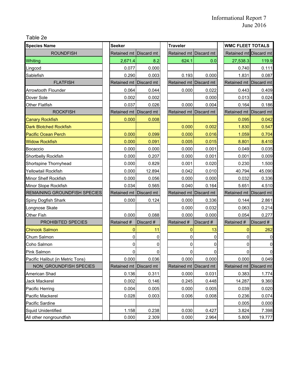Table 2e

| <b>Species Name</b>              | <b>Seeker</b>          |            | <b>Traveler</b>        |             |  | <b>WMC FLEET TOTALS</b> |                |
|----------------------------------|------------------------|------------|------------------------|-------------|--|-------------------------|----------------|
| <b>ROUNDFISH</b>                 | Retained mt            | Discard mt | <b>Retained mt</b>     | Discard mt  |  | Retained mt Discard mt  |                |
| Whiting                          | 2,671.4                | 8.2        | 624.1                  | 0.0         |  | 27,538.3                | 119.9          |
| Lingcod                          | 0.077                  | 0.000      |                        |             |  | 0.740                   | 0.111          |
| Sablefish                        | 0.290                  | 0.003      | 0.193                  | 0.000       |  | 1.831                   | 0.087          |
| <b>FLATFISH</b>                  | Retained mt            | Discard mt | Retained mt Discard mt |             |  | Retained mt             | Discard mt     |
| <b>Arrowtooth Flounder</b>       | 0.064                  | 0.044      | 0.000                  | 0.022       |  | 0.443                   | 0.409          |
| Dover Sole                       | 0.002                  | 0.002      |                        | 0.000       |  | 0.013                   | 0.024          |
| <b>Other Flatfish</b>            | 0.037                  | 0.026      | 0.000                  | 0.004       |  | 0.164                   | 0.186          |
| <b>ROCKFISH</b>                  | Retained mt            | Discard mt | Retained mt Discard mt |             |  | Retained mt Discard mt  |                |
| <b>Canary Rockfish</b>           | 0.000                  | 0.008      |                        |             |  | 0.095                   | 0.042          |
| <b>Dark Blotched Rockfish</b>    |                        |            | 0.000                  | 0.002       |  | 1.830                   | 0.547          |
| <b>Pacific Ocean Perch</b>       | 0.000                  | 0.099      | 0.000                  | 0.016       |  | 1.059                   | 0.704          |
| <b>Widow Rockfish</b>            | 0.000                  | 0.091      | 0.005                  | 0.015       |  | 8.801                   | 8.410          |
| Bocaccio                         | 0.000                  | 0.000      | 0.000                  | 0.001       |  | 0.049                   | 0.035          |
| Shortbelly Rockfish              | 0.000                  | 0.207      | 0.000                  | 0.001       |  | 0.001                   | 0.009          |
| Shortspine Thornyhead            | 0.000                  | 0.829      | 0.001                  | 0.020       |  | 0.230                   | 1.500          |
| Yellowtail Rockfish              | 0.000                  | 12.894     | 0.042                  | 0.010       |  | 40.794                  | 45.090         |
| Minor Shelf Rockfish             | 0.000                  | 0.056      | 0.000                  | 0.000       |  | 0.032                   | 0.336          |
| Minor Slope Rockfish             | 0.034                  | 0.565      | 0.040                  | 0.164       |  | 5.651                   | 4.510          |
| REMAINING GROUNDFISH SPECIES     | Retained mt            | Discard mt | Retained mt Discard mt |             |  | Retained mt             | Discard mt     |
| Spiny Dogfish Shark              | 0.000                  | 0.124      | 0.000                  | 0.336       |  | 0.144                   | 2.861          |
| Longnose Skate                   |                        |            | 0.000                  | 0.032       |  | 0.063                   | 0.214          |
| Other Fish                       | 0.000                  | 0.088      | 0.000                  | 0.000       |  | 0.054                   | 0.277          |
| PROHIBITED SPECIES               | Retained #             | Discard #  | Retained #             | Discard #   |  | Retained #              | Discard #      |
| <b>Chinook Salmon</b>            | $\overline{0}$         | 11         | $\mathbf 0$            | 13          |  | $\overline{0}$          | 262            |
| Chum Salmon                      | 0                      | 0          | 0                      | 0           |  | 0                       | $\pmb{0}$      |
| Coho Salmon                      | 0                      | 0          | 0                      | $\mathbf 0$ |  | 0                       | $\overline{0}$ |
| Pink Salmon                      | 0                      |            | 0                      | 0           |  | 0                       | $\overline{0}$ |
| Pacific Halibut (in Metric Tons) | 0.000                  | 0.036      | 0.000                  | 0.000       |  | 0.000                   | 0.049          |
| NON GROUNDFISH SPECIES           | Retained mt Discard mt |            | Retained mt Discard mt |             |  | Retained mt Discard mt  |                |
| American Shad                    | 0.136                  | 0.311      | 0.000                  | 0.031       |  | 0.383                   | 1.774          |
| Jack Mackerel                    | 0.002                  | 0.146      | 0.245                  | 0.448       |  | 14.287                  | 9.360          |
| Pacific Herring                  | 0.004                  | 0.005      | 0.000                  | 0.005       |  | 0.039                   | 0.020          |
| Pacific Mackerel                 | 0.028                  | 0.003      | 0.006                  | 0.008       |  | 0.236                   | 0.074          |
| Pacific Sardine                  |                        |            |                        |             |  | 0.005                   | 0.000          |
| <b>Squid Unidentified</b>        | 1.158                  | 0.238      | 0.030                  | 0.427       |  | 3.824                   | 7.398          |
| All other nongroundfish          | 0.000                  | 2.309      | 0.000                  | 2.964       |  | 5.809                   | 19.777         |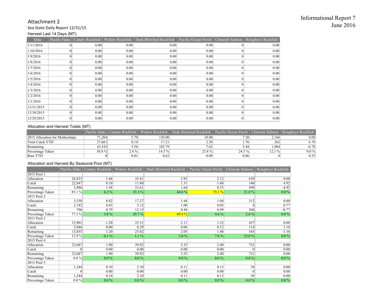#### Attachment 2 Sea State Daily Report 12/31/15 Harvest Last 14 Days (MT)

| Date       |          |      |      | Pacific Hake   Canary Rockfish   Widow Rockfish   Dark Blotched Rockfish   Pacific Ocean Perch   Chinook Salmon   Rougheye Rockfish |      |      |
|------------|----------|------|------|-------------------------------------------------------------------------------------------------------------------------------------|------|------|
| 1/11/2016  |          | 0.00 | 0.00 | 0.00                                                                                                                                | 0.00 | 0.00 |
| 1/10/2016  | $\Omega$ | 0.00 | 0.00 | 0.00                                                                                                                                | 0.00 | 0.00 |
| 1/9/2016   | $\Omega$ | 0.00 | 0.00 | 0.00                                                                                                                                | 0.00 | 0.00 |
| 1/8/2016   | $\Omega$ | 0.00 | 0.00 | 0.00                                                                                                                                | 0.00 | 0.00 |
| 1/7/2016   | $\theta$ | 0.00 | 0.00 | 0.00                                                                                                                                | 0.00 | 0.00 |
| 1/6/2016   | $\Omega$ | 0.00 | 0.00 | 0.00                                                                                                                                | 0.00 | 0.00 |
| 1/5/2016   |          | 0.00 | 0.00 | 0.00                                                                                                                                | 0.00 | 0.00 |
| 1/4/2016   | $\theta$ | 0.00 | 0.00 | 0.00                                                                                                                                | 0.00 | 0.00 |
| 1/3/2016   |          | 0.00 | 0.00 | 0.00                                                                                                                                | 0.00 | 0.00 |
| 1/2/2016   | $\Omega$ | 0.00 | 0.00 | 0.00                                                                                                                                | 0.00 | 0.00 |
| 1/1/2016   |          | 0.00 | 0.00 | 0.00                                                                                                                                | 0.00 | 0.00 |
| 12/31/2015 | $\Omega$ | 0.00 | 0.00 | 0.00                                                                                                                                | 0.00 | 0.00 |
| 12/30/2015 | $\Omega$ | 0.00 | 0.00 | 0.00                                                                                                                                | 0.00 | 0.00 |
| 12/29/2015 | $\Omega$ | 0.00 | 0.00 | 0.00                                                                                                                                | 0.00 | 0.00 |

#### Allocation and Harvest Totals (MT)

|                                 |        |          |                    | Pacific Hake   Canary Rockfish   Widow Rockfish   Dark Blotched Rockfish   Pacific Ocean Perch |           |        | ∟l Chinook Salmon∣Rougheve Rockfish∣ |
|---------------------------------|--------|----------|--------------------|------------------------------------------------------------------------------------------------|-----------|--------|--------------------------------------|
| 2015 Allocation for Motherships | 71.204 | 5.70     | 120.00             | 10.00                                                                                          | 7.20      | 2.166  | 0.001                                |
| Total Catch YTD                 | 27.661 | 0.14     | 17.21 <sub>1</sub> | 2.38                                                                                           | 1.76      | 262    | 6.78                                 |
| Remaining                       | 43,543 | 5.56     | 102.79             | 7.62                                                                                           | 5.44      | 1,904  | $-6.78$                              |
| Percentage Taken                | 38.8%  | $2.4 \%$ | 14.3%              | 23.8%                                                                                          | $24.5 \%$ | 12.1 % | $0.0\%$                              |
| Rate YTD                        |        | 0.01     | 0.62               | 0.09                                                                                           | 0.06      |        | 0.25                                 |

#### Allocation and Harvest By Seasonal Pool (MT)

|                  | Pacific Hake | Canary Rockfish | Widow Rockfish | Dark Blotched Rockfish | Pacific Ocean Perch | Chinook Salmon  | Rougheye Rockfish |
|------------------|--------------|-----------------|----------------|------------------------|---------------------|-----------------|-------------------|
| 2015 Pool 1      |              |                 |                |                        |                     |                 |                   |
| Allocation       | 26,833       | 1.68            | 35.41          | 2.95                   | 2.12                | 639             | 0.00              |
| Catch            | 22,847       | 0.10            | 11.80          | 1.31                   | 1.60                | 140             | 4.92              |
| Remaining        | 3,986        | 1.58            | 23.61          | 1.64                   | 0.53                | 499             | $-4.92$           |
| Percentage Taken | 85.1 %       | 6.2 %           | 33.3 %         | 44.6 %                 | 75.1%               | 21.8%           | $0.0\%$           |
| 2015 Pool 2      |              |                 |                |                        |                     |                 |                   |
| Allocation       | 3,538        | 0.82            | 17.27          | 1.44                   | 1.04                | 312             | 0.00              |
| Catch            | 2,742        | 0.03            | 5.12           | 1.00                   | 0.05                |                 | 0.77              |
| Remaining        | 796          | 0.79            | 12.15          | 0.44                   | 0.99                | 304             | $-0.77$           |
| Percentage Taken | 77.5%        | 3.8%            | 29.7%          | 69.4%                  | 4.6 %               | $2.6\%$         | $0.0\%$           |
| 2015 Pool 3      |              |                 |                |                        |                     |                 |                   |
| Allocation       | 15,901       | 1.20            | 25.31          | 2.11                   | 1.52                | 457             | 0.00              |
| Catch            | 2,046        | 0.00            | 0.29           | 0.06                   | 0.12                | 114             | 1.10              |
| Remaining        | 13,855       | 1.20            | 25.02          | 2.05                   | 1.40                | 343             | $-1.10$           |
| Percentage Taken | 12.9%        | $0.1\%$         | 1.1%           | 3.0%                   | 7.8%                | 25.0%           | $0.0\%$           |
| 2015 Pool 4      |              |                 |                |                        |                     |                 |                   |
| Allocation       | 23,687       | 1.90            | 39.92          | 3.33                   | 2.40                | 721             | 0.00              |
| Catch            | 0            | 0.00            | 0.00           | 0.00                   | 0.00                | $\theta$        | 0.00              |
| Remaining        | 23,687       | 1.90            | 39.92          | 3.33                   | 2.40                | 721             | 0.00              |
| Percentage Taken | $0.0\%$      | $0.0\%$         | $0.0\%$        | $0.0\%$                | $0.0\%$             | $0.0\%$         | $0.0\%$           |
| 2015 Pool 5      |              |                 |                |                        |                     |                 |                   |
| Allocation       | 1,244        | 0.10            | 2.10           | 0.11                   | 0.13                | 38              | 0.00              |
| Catch            | 0            | 0.00            | 0.00           | 0.00                   | 0.00                | $\vert 0 \vert$ | 0.00              |
| Remaining        | 1,244        | 0.10            | 2.10           | 0.11                   | 0.13                | 38              | 0.00              |
| Percentage Taken | $0.0\%$      | $0.0\%$         | $0.0\%$        | $0.0\%$                | $0.0\%$             | $0.0\%$         | $0.0\%$           |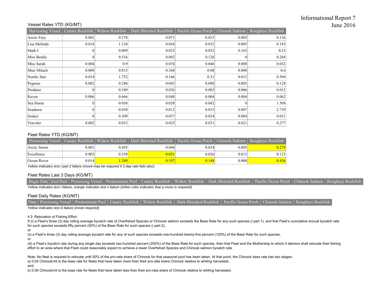#### Vessel Rates YTD (KG/MT)

| Harvesting Vessel   Canary Rockfish |          | Widow Rockfish | Dark Blotched Rockfish | Pacific Ocean Perch   Chinook Salmon |          | Rougheye Rockfish |
|-------------------------------------|----------|----------------|------------------------|--------------------------------------|----------|-------------------|
| Arctic Fury                         | 0.001    | 0.278          | 0.071                  | 0.015                                | 0.005    | 0.136             |
| Lisa Melinda                        | 0.018    | 1.124          | 0.054                  | 0.032                                | 0.005    | 0.183             |
| Mark I                              | $\theta$ | 0.009          | 0.023                  | 0.032                                | 0.165    | 0.23              |
| Miss Berdie                         | $\theta$ | 0.516          | 0.042                  | 0.126                                | $\theta$ | 0.268             |
| Miss Sarah                          | 0.004    | 0.9            | 0.076                  | 0.046                                | 0.008    | 0.032             |
| Muir Milach                         | 0.008    | 0.815          | 0.368                  | 0.08                                 | 0.008    | 0.6               |
| Nordic Star                         | 0.014    | 1.752          | 0.166                  | 0.31                                 | 0.012    | 0.504             |
| Pegasus                             | 0.002    | 0.246          | 0.043                  | 0.088                                | 0.003    | 0.128             |
| Predator                            | $\theta$ | 0.549          | 0.036                  | 0.003                                | 0.006    | 0.012             |
| Raven                               | 0.006    | 0.666          | 0.048                  | 0.004                                | 0.004    | 0.062             |
| Sea Storm                           | $\theta$ | 0.058          | 0.028                  | 0.042                                | $\theta$ | 1.508             |
| Seadawn                             | $\theta$ | 0.038          | 0.012                  | 0.015                                | 0.007    | 2.739             |
| Seeker                              | $\Omega$ | 0.309          | 0.037                  | 0.034                                | 0.004    | 0.031             |
| Traveler                            | 0.002    | 0.033          | 0.025                  | 0.031                                | 0.021    | 0.277             |

#### Fleet Rates YTD (KG/MT)

| Processing Vessel |       | Canary Rockfish   Widow Rockfish | Dark Blotched Rockfish | Pacific Ocean Perch   Chinook Salmon |       | Rougheye Rockfish |
|-------------------|-------|----------------------------------|------------------------|--------------------------------------|-------|-------------------|
| Arctic Storm      | 0.001 | 0.493                            | 0.044                  | 0.034                                | 0.005 | 0.274             |
| Excellence        | 0.003 | 0.3581                           | 0.051                  | 0.036                                | 0.013 | 0.123             |
| Ocean Rover       | 0.014 | .249                             | 0.197                  | 0.148                                | 0.008 | 0.436             |

*Yellow indicates test i part 2 failure (move may be required if 3 day rate fails also)*

#### Fleet Rates Last 3 Days (KG/MT)

Begin Date | End Date | Processing Vessel | Predominant Pool | Canary Rockfish | Widow Rockfish | Dark Blotched Rockfish | Pacific Ocean Perch | Chinook Salmon | Rougheye Rockfish *Yellow indicates test i failure, orange indicates test ii failure (either color indicates that a move is required)*

#### Fleet Daily Rates (KG/MT)

|  |  | Date Processing Vessel Predominant Pool Canary Rockfish   Widow Rockfish   Dark Blotched Rockfish   Pacific Ocean Perch   Chinook Salmon   Rougheye Rockfish |  |  |
|--|--|--------------------------------------------------------------------------------------------------------------------------------------------------------------|--|--|
|  |  |                                                                                                                                                              |  |  |

*Yellow indicates test iii failure (move required)*

#### 4.3 Relocation of Fishing Effort.

If (i) a Fleet's three (3) day rolling average bycatch rate of Overfished Species or Chinook salmon exceeds the Base Rate for any such species (i part 1), and that Fleet's cumulative annual bycatch rate for such species exceeds fifty percent (50%) of the Base Rate for such species (i part 2),

or or

(ii) a Fleet's three (3) day rolling average bycatch rate for any of such species exceeds one-hundred twenty-five percent (125%) of the Base Rate for such species,

(iii) a Fleet's bycatch rate during any single day exceeds two-hundred percent (200%) of the Base Rate for such species, then that Fleet and the Mothership to which it delivers shall relocate their fishing effort to an area where that Fleet could reasonably expect to achieve a lower Overfished Species and Chinook salmon bycatch rate.

Note: No fleet is required to relocate until 50% of the pro-rata share of Chinook for that seasonal pool has been taken. At that point, the Chinook base rate has two stages:

a) 0.04 Chinook/mt is the base rate for fleets that have taken more than their pro-rata share Chinook relative to whiting harvested,

and,

b) 0.06 Chinook/mt is the base rate for fleets that have taken less than their pro-rata share of Chinook relative to whiting harvested.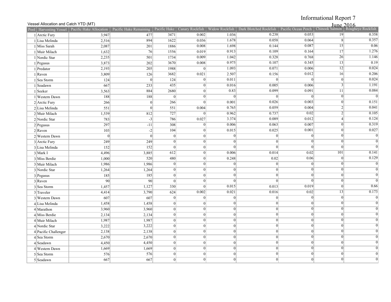### Informational Report 7

#### Vessel Allocation and Catch YTD (MT)

|                                                                                                    | June 2016 |
|----------------------------------------------------------------------------------------------------|-----------|
| $\Omega$ . $\Omega$ . $\Omega$ . $\Omega$ . $\Omega$ . $\Omega$ . $\Omega$ . $\Omega$ . $\Omega$ . |           |

|                      | Pool Harvesting Vessel Pacific Hake Allocation Pacific Hake Remaining Pacific Hake   Canary Rockfish   Widow Rockfish   Dark Blotched Rockfish   Pacific Ocean Perch   Chinook Salmon   Rougheye Rockfish |                 |                 |           |                 |                 |                 |                 |                |
|----------------------|-----------------------------------------------------------------------------------------------------------------------------------------------------------------------------------------------------------|-----------------|-----------------|-----------|-----------------|-----------------|-----------------|-----------------|----------------|
| $1$ Arctic Fury      | 3,947                                                                                                                                                                                                     | 477             | 3471            | 0.002     | 1.036           | 0.238           | 0.053           | 19              | 0.358          |
| 1 Lisa Melinda       | 2,516                                                                                                                                                                                                     | 894             | 1622            | 0.036     | 1.678           | 0.058           | 0.064           | 8 <sup>l</sup>  | 0.357          |
| 1 Miss Sarah         | 2,087                                                                                                                                                                                                     | 201             | 1886            | 0.008     | 1.698           | 0.144           | 0.087           | 15              | 0.06           |
| 1 Muir Milach        | 1,632                                                                                                                                                                                                     | 76              | 1556            | 0.019     | 0.913           | 0.109           | 0.164           | 17              | 1.276          |
| 1 Nordic Star        | 2,235                                                                                                                                                                                                     | 501             | 1734            | 0.009     | 1.042           | 0.328           | 0.768           | 26              | 1.146          |
| $1$ Pegasus          | 3,873                                                                                                                                                                                                     | 202             | 3670            | 0.008     | 0.975           | 0.107           | 0.345           | 13              | 0.19           |
| $1$ Predator         | 2,193                                                                                                                                                                                                     | 205             | 1988            | $\vert$ 0 | 1.093           | 0.071           | 0.006           | $\overline{12}$ | 0.024          |
| $1$ Raven            | 3,809                                                                                                                                                                                                     | 126             | 3682            | 0.021     | 2.507           | 0.156           | 0.012           | 16              | 0.206          |
| 1 Sea Storm          | 124                                                                                                                                                                                                       | $\vert 0 \vert$ | 124             | $\Omega$  | 0.011           | $\overline{0}$  | $\Omega$        | $\vert$ 0       | 0.024          |
| $1$ Seadawn          | 667                                                                                                                                                                                                       | 233             | 435             |           | 0.016           | 0.005           | 0.006           | 3               | 1.191          |
| $1$ Seeker           | 3,563                                                                                                                                                                                                     | 884             | 2680            |           | 0.83            | 0.099           | 0.091           | 11              | 0.084          |
| 1 Western Dawn       | 188                                                                                                                                                                                                       | 188             | $\vert 0 \vert$ | $\Omega$  | $\vert 0 \vert$ | $\vert 0 \vert$ |                 | $\vert 0 \vert$ | $\overline{0}$ |
| $2$ Arctic Fury      | 266                                                                                                                                                                                                       | $\vert 0 \vert$ | 266             |           | 0.001           | 0.026           | 0.003           | $\overline{0}$  | 0.151          |
| $2$ Lisa Melinda     | 551                                                                                                                                                                                                       | $\vert 0 \vert$ | 551             | 0.004     | 0.765           | 0.059           | 0.004           | $\overline{2}$  | 0.041          |
| 2 Muir Milach        | 1,539                                                                                                                                                                                                     | 812             | 727             |           | 0.962           | 0.737           | 0.02            | $\overline{2}$  | 0.105          |
| 2 Nordic Star        | 783                                                                                                                                                                                                       | $-3$            | 786             | 0.027     | 3.374           | 0.089           | 0.012           | $\vert$         | 0.124          |
| $2$ Pegasus          | 297                                                                                                                                                                                                       | $-11$           | 308             |           | 0.006           | 0.063           | 0.007           | $\vert 0 \vert$ | 0.319          |
| $2$ Raven            | 103                                                                                                                                                                                                       | $-2$            | 104             |           | 0.015           | 0.025           | 0.001           | $\overline{0}$  | 0.027          |
| 2 Western Dawn       | $\overline{0}$                                                                                                                                                                                            | $\vert$ 0       | $\vert 0 \vert$ | $\Omega$  | $\overline{0}$  | $\vert 0 \vert$ | $\Omega$        | $\vert$ 0       | $\overline{0}$ |
| 3 Arctic Fury        | 249                                                                                                                                                                                                       | 249             | $\vert 0 \vert$ | $\vert$ 0 | $\vert 0 \vert$ | $\vert$ 0       | $\Omega$        | $\vert$ 0       | $\overline{0}$ |
| 3 Lisa Melinda       | 152                                                                                                                                                                                                       | 152             | 0               | $\vert$ 0 | $\vert 0 \vert$ | $\vert 0 \vert$ | $\vert 0 \vert$ | $\vert$ 0       | $\overline{0}$ |
| $3$ Mark I           | 4,496                                                                                                                                                                                                     | 3,885           | 612             | $\Omega$  | 0.006           | 0.014           | 0.02            | 101             | 0.141          |
| 3 Miss Berdie        | 1,000                                                                                                                                                                                                     | 520             | 480             | $\Omega$  | 0.248           | 0.02            | 0.06            | $\vert$ 0       | 0.129          |
| 3 Muir Milach        | 1,986                                                                                                                                                                                                     | 1,986           | $\vert 0 \vert$ | $\vert$ 0 | $\vert 0 \vert$ | $\vert 0 \vert$ | $\vert 0 \vert$ | $\vert$ 0       | $\overline{0}$ |
| 3 Nordic Star        | 1,264                                                                                                                                                                                                     | 1,264           | $\vert 0 \vert$ | $\Omega$  | $\overline{0}$  | $\vert$ 0       | $\vert 0 \vert$ | $\vert$ 0       | $\overline{0}$ |
| $3$ Pegasus          | 185                                                                                                                                                                                                       | 185             | $\vert 0 \vert$ | $\vert$ 0 | $\vert 0 \vert$ | $\vert 0 \vert$ | $\vert 0 \vert$ | 0               | $\overline{0}$ |
| $3$ Raven            | 90                                                                                                                                                                                                        | 90              | 0               | $\Omega$  | $\overline{0}$  |                 | $\theta$        | $\vert$ 0       | $\overline{0}$ |
| 3 Sea Storm          | 1,457                                                                                                                                                                                                     | 1,127           | 330             |           | 0.015           | 0.013           | 0.019           | $\vert 0 \vert$ | 0.66           |
| $3$ Traveler         | 4,414                                                                                                                                                                                                     | 3,790           | 624             | 0.002     | 0.021           | 0.016           | 0.02            | 13              | 0.173          |
| 3 Western Dawn       | 607                                                                                                                                                                                                       | 607             | 0               | $\Omega$  | 0               | $\vert 0 \vert$ | $\vert 0 \vert$ | $\vert 0 \vert$ | $\overline{0}$ |
| 4 Lisa Melinda       | 1,458                                                                                                                                                                                                     | 1,458           | $\vert 0 \vert$ | $\Omega$  | 0               | $\vert 0 \vert$ | 0               | $\vert 0 \vert$ | $\overline{0}$ |
| $4$ Marathon         | 3,960                                                                                                                                                                                                     | 3,960           | 0               | $\Omega$  | 0               | $\vert$ 0       | $\vert$ 0       | $\vert$ 0       | $\overline{0}$ |
| 4 Miss Berdie        | 2,134                                                                                                                                                                                                     | 2,134           | 0               | $\Omega$  | 0               | 0               | $\vert 0 \vert$ | $\overline{0}$  | $\overline{0}$ |
| 4 Muir Milach        | 1,987                                                                                                                                                                                                     | 1,987           | $\vert 0 \vert$ | $\Omega$  | 0               | $\vert 0 \vert$ | $\vert 0 \vert$ | $\vert$ 0       | $\overline{0}$ |
| 4 Nordic Star        | 3,222                                                                                                                                                                                                     | 3,222           | 0               | $\vert$ 0 | 0               | 0               | $\vert 0 \vert$ | 0               | $\overline{0}$ |
| 4 Pacific Challenger | 2,138                                                                                                                                                                                                     | 2,138           | $\vert 0 \vert$ | $\vert$ 0 | 0               | 0               | $\vert 0 \vert$ | $\overline{0}$  | $\overline{0}$ |
| $4$ Sea Storm        | 2,670                                                                                                                                                                                                     | 2,670           | $\vert 0 \vert$ | $\Omega$  | 0               | $\vert 0 \vert$ | $\vert 0 \vert$ | $\vert$ 0       | $\overline{0}$ |
| $4$ Seadawn          | 4,450                                                                                                                                                                                                     | 4,450           | $\vert 0 \vert$ | $\vert$ 0 | 0               | 0               | $\vert 0 \vert$ | $\vert$ 0       | $\overline{0}$ |
| 4 Western Dawn       | 1,669                                                                                                                                                                                                     | 1,669           | $\vert 0 \vert$ | $\Omega$  | 0               | $\vert$ 0       | $\vert$ 0       | $\Omega$        | $\overline{0}$ |
| 5 Sea Storm          | 576                                                                                                                                                                                                       | 576             | $\theta$        | $\Omega$  | 0               | $\vert 0 \vert$ | $\Omega$        | $\vert$ 0       | $\overline{0}$ |
| $5$ Seadawn          | 667                                                                                                                                                                                                       | 667             | 0               | $\vert$   | 0               | $\overline{0}$  | $\Omega$        | $\overline{0}$  | $\overline{0}$ |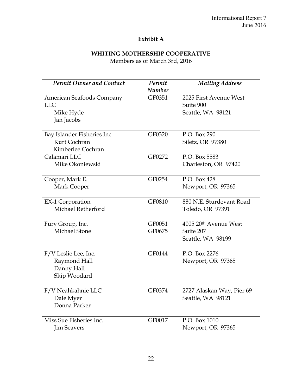# **Exhibit A**

# **WHITING MOTHERSHIP COOPERATIVE**

Members as of March 3rd, 2016

| <b>Permit Owner and Contact</b>                                    | Permit                  | <b>Mailing Address</b>                                   |
|--------------------------------------------------------------------|-------------------------|----------------------------------------------------------|
| American Seafoods Company<br><b>LLC</b><br>Mike Hyde<br>Jan Jacobs | <b>Number</b><br>GF0351 | 2025 First Avenue West<br>Suite 900<br>Seattle, WA 98121 |
| Bay Islander Fisheries Inc.<br>Kurt Cochran<br>Kimberlee Cochran   | GF0320                  | P.O. Box 290<br>Siletz, OR 97380                         |
| Calamari LLC<br>Mike Okoniewski                                    | GF0272                  | P.O. Box 5583<br>Charleston, OR 97420                    |
| Cooper, Mark E.<br>Mark Cooper                                     | GF0254                  | P.O. Box 428<br>Newport, OR 97365                        |
| <b>EX-1 Corporation</b><br>Michael Retherford                      | GF0810                  | 880 N.E. Sturdevant Road<br>Toledo, OR 97391             |
| Fury Group, Inc.<br><b>Michael Stone</b>                           | GF0051<br>GF0675        | 4005 20th Avenue West<br>Suite 207<br>Seattle, WA 98199  |
| F/V Leslie Lee, Inc.<br>Raymond Hall<br>Danny Hall<br>Skip Woodard | GF0144                  | P.O. Box 2276<br>Newport, OR 97365                       |
| F/V Neahkahnie LLC<br>Dale Myer<br>Donna Parker                    | GF0374                  | 2727 Alaskan Way, Pier 69<br>Seattle, WA 98121           |
| Miss Sue Fisheries Inc.<br><b>Jim Seavers</b>                      | GF0017                  | P.O. Box 1010<br>Newport, OR 97365                       |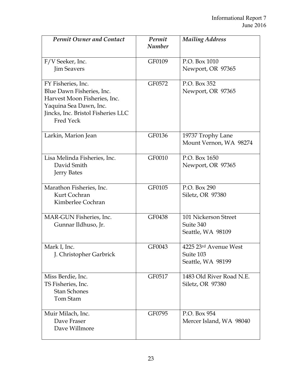| <b>Permit Owner and Contact</b>                                                                                                                                     | Permit<br><b>Number</b> | <b>Mailing Address</b>                                  |
|---------------------------------------------------------------------------------------------------------------------------------------------------------------------|-------------------------|---------------------------------------------------------|
| F/V Seeker, Inc.<br><b>Jim Seavers</b>                                                                                                                              | GF0109                  | P.O. Box 1010<br>Newport, OR 97365                      |
| FY Fisheries, Inc.<br>Blue Dawn Fisheries, Inc.<br>Harvest Moon Fisheries, Inc.<br>Yaquina Sea Dawn, Inc.<br>Jincks, Inc. Bristol Fisheries LLC<br><b>Fred Yeck</b> | GF0572                  | P.O. Box 352<br>Newport, OR 97365                       |
| Larkin, Marion Jean                                                                                                                                                 | GF0136                  | 19737 Trophy Lane<br>Mount Vernon, WA 98274             |
| Lisa Melinda Fisheries, Inc.<br>David Smith<br><b>Jerry Bates</b>                                                                                                   | GF0010                  | P.O. Box 1650<br>Newport, OR 97365                      |
| Marathon Fisheries, Inc.<br>Kurt Cochran<br>Kimberlee Cochran                                                                                                       | GF0105                  | P.O. Box 290<br>Siletz, OR 97380                        |
| MAR-GUN Fisheries, Inc.<br>Gunnar Ildhuso, Jr.                                                                                                                      | GF0438                  | 101 Nickerson Street<br>Suite 340<br>Seattle, WA 98109  |
| Mark I, Inc.<br>J. Christopher Garbrick                                                                                                                             | GF0043                  | 4225 23rd Avenue West<br>Suite 103<br>Seattle, WA 98199 |
| Miss Berdie, Inc.<br>TS Fisheries, Inc.<br><b>Stan Schones</b><br>Tom Stam                                                                                          | GF0517                  | 1483 Old River Road N.E.<br>Siletz, OR 97380            |
| Muir Milach, Inc.<br>Dave Fraser<br>Dave Willmore                                                                                                                   | GF0795                  | P.O. Box 954<br>Mercer Island, WA 98040                 |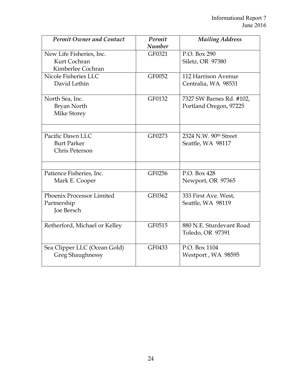| <b>Permit Owner and Contact</b> | Permit        | <b>Mailing Address</b>   |
|---------------------------------|---------------|--------------------------|
|                                 | <b>Number</b> |                          |
| New Life Fisheries, Inc.        | GF0321        | P.O. Box 290             |
| Kurt Cochran                    |               | Siletz, OR 97380         |
| Kimberlee Cochran               |               |                          |
| Nicole Fisheries LLC            | GF0052        | 112 Harrison Avenue      |
| David Lethin                    |               | Centralia, WA 98531      |
| North Sea, Inc.                 | GF0132        | 7327 SW Barnes Rd. #102, |
| Bryan North                     |               | Portland Oregon, 97225   |
| <b>Mike Storey</b>              |               |                          |
|                                 |               |                          |
| Pacific Dawn LLC                | GF0273        | 2324 N.W. 90th Street    |
| <b>Burt Parker</b>              |               | Seattle, WA 98117        |
| Chris Peterson                  |               |                          |
|                                 |               |                          |
| Patience Fisheries, Inc.        | GF0256        | P.O. Box 428             |
| Mark E. Cooper                  |               | Newport, OR 97365        |
| Phoenix Processor Limited       | GF0362        | 333 First Ave. West,     |
| Partnership                     |               | Seattle, WA 98119        |
| Joe Bersch                      |               |                          |
| Retherford, Michael or Kelley   | GF0515        | 880 N.E. Sturdevant Road |
|                                 |               | Toledo, OR 97391         |
|                                 |               |                          |
| Sea Clipper LLC (Ocean Gold)    | GF0433        | P.O. Box 1104            |
| <b>Greg Shaughnessy</b>         |               | Westport, WA 98595       |
|                                 |               |                          |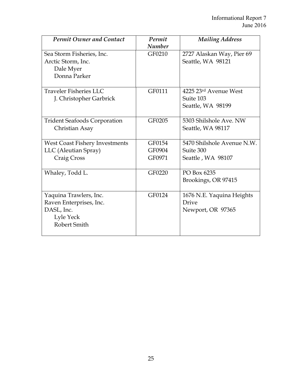| <b>Permit Owner and Contact</b>                                                              | Permit<br><b>Number</b>    | <b>Mailing Address</b>                                       |
|----------------------------------------------------------------------------------------------|----------------------------|--------------------------------------------------------------|
| Sea Storm Fisheries, Inc.<br>Arctic Storm, Inc.<br>Dale Myer<br>Donna Parker                 | GF0210                     | 2727 Alaskan Way, Pier 69<br>Seattle, WA 98121               |
| Traveler Fisheries LLC<br>J. Christopher Garbrick                                            | GF0111                     | 4225 23rd Avenue West<br>Suite 103<br>Seattle, WA 98199      |
| <b>Trident Seafoods Corporation</b><br>Christian Asay                                        | GF0205                     | 5303 Shilshole Ave. NW<br>Seattle, WA 98117                  |
| West Coast Fishery Investments<br>LLC (Aleutian Spray)<br>Craig Cross                        | GF0154<br>GF0904<br>GF0971 | 5470 Shilshole Avenue N.W.<br>Suite 300<br>Seattle, WA 98107 |
| Whaley, Todd L.                                                                              | GF0220                     | PO Box 6235<br>Brookings, OR 97415                           |
| Yaquina Trawlers, Inc.<br>Raven Enterprises, Inc.<br>DASL, Inc.<br>Lyle Yeck<br>Robert Smith | GF0124                     | 1676 N.E. Yaquina Heights<br>Drive<br>Newport, OR 97365      |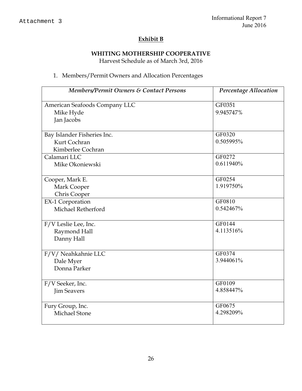# **Exhibit B**

# **WHITING MOTHERSHIP COOPERATIVE**

Harvest Schedule as of March 3rd, 2016

# 1. Members/Permit Owners and Allocation Percentages

| Members/Permit Owners & Contact Persons | Percentage Allocation |
|-----------------------------------------|-----------------------|
| American Seafoods Company LLC           | GF0351                |
| Mike Hyde                               | 9.945747%             |
| Jan Jacobs                              |                       |
| Bay Islander Fisheries Inc.             | GF0320                |
| Kurt Cochran                            | 0.505995%             |
| Kimberlee Cochran                       |                       |
| Calamari LLC                            | GF0272                |
| Mike Okoniewski                         | 0.611940%             |
| Cooper, Mark E.                         | GF0254                |
| Mark Cooper                             | 1.919750%             |
| Chris Cooper                            |                       |
| <b>EX-1 Corporation</b>                 | GF0810                |
| Michael Retherford                      | 0.542467%             |
| F/V Leslie Lee, Inc.                    | GF0144                |
| Raymond Hall                            | 4.113516%             |
| Danny Hall                              |                       |
| F/V/ Neahkahnie LLC                     | GF0374                |
| Dale Myer                               | 3.944061%             |
| Donna Parker                            |                       |
| F/V Seeker, Inc.                        | GF0109                |
| <b>Jim Seavers</b>                      | 4.858447%             |
| Fury Group, Inc.                        | GF0675                |
| Michael Stone                           | 4.298209%             |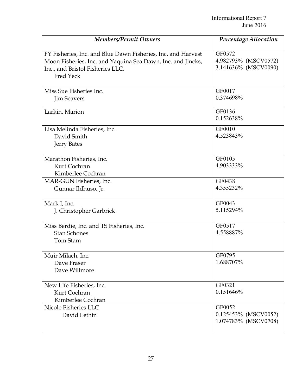| <b>Members/Permit Owners</b>                                                                                                                                                 | <b>Percentage Allocation</b>                           |
|------------------------------------------------------------------------------------------------------------------------------------------------------------------------------|--------------------------------------------------------|
| FY Fisheries, Inc. and Blue Dawn Fisheries, Inc. and Harvest<br>Moon Fisheries, Inc. and Yaquina Sea Dawn, Inc. and Jincks,<br>Inc., and Bristol Fisheries LLC.<br>Fred Yeck | GF0572<br>4.982793% (MSCV0572)<br>3.141636% (MSCV0090) |
| Miss Sue Fisheries Inc.<br><b>Jim Seavers</b>                                                                                                                                | GF0017<br>0.374698%                                    |
| Larkin, Marion                                                                                                                                                               | GF0136<br>0.152638%                                    |
| Lisa Melinda Fisheries, Inc.<br>David Smith<br><b>Jerry Bates</b>                                                                                                            | GF0010<br>4.523843%                                    |
| Marathon Fisheries, Inc.<br>Kurt Cochran<br>Kimberlee Cochran                                                                                                                | GF0105<br>4.903333%                                    |
| MAR-GUN Fisheries, Inc.<br>Gunnar Ildhuso, Jr.                                                                                                                               | GF0438<br>4.355232%                                    |
| Mark I, Inc.<br>J. Christopher Garbrick                                                                                                                                      | GF0043<br>5.115294%                                    |
| Miss Berdie, Inc. and TS Fisheries, Inc.<br><b>Stan Schones</b><br>Tom Stam                                                                                                  | GF0517<br>4.558887%                                    |
| Muir Milach, Inc.<br>Dave Fraser<br>Dave Willmore                                                                                                                            | GF0795<br>1.688707%                                    |
| New Life Fisheries, Inc.<br>Kurt Cochran<br>Kimberlee Cochran                                                                                                                | GF0321<br>0.151646%                                    |
| Nicole Fisheries LLC<br>David Lethin                                                                                                                                         | GF0052<br>0.125453% (MSCV0052)<br>1.074783% (MSCV0708) |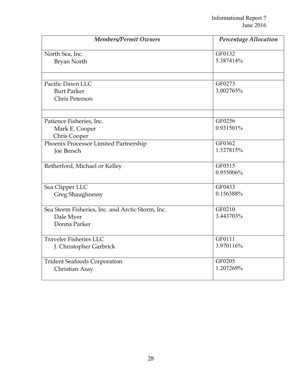| <b>Members/Permit Owners</b>                                                  | Percentage Allocation |
|-------------------------------------------------------------------------------|-----------------------|
| North Sea, Inc.                                                               | GF0132                |
| Bryan North                                                                   | 5.387414%             |
| Pacific Dawn LLC<br><b>Burt Parker</b><br>Chris Peterson                      | GF0273<br>3.002765%   |
| Patience Fisheries, Inc.                                                      | GF0256                |
| Mark E. Cooper                                                                | 0.931501%             |
| Chris Cooper                                                                  | GF0362                |
| Phoenix Processor Limited Partnership<br>Joe Bersch                           | 1.527815%             |
| Retherford, Michael or Kelley                                                 | GF0515<br>0.955006%   |
| Sea Clipper LLC                                                               | GF0433                |
| <b>Greg Shaughnessy</b>                                                       | 0.156388%             |
| Sea Storm Fisheries, Inc. and Arctic Storm, Inc.<br>Dale Myer<br>Donna Parker | GF0210<br>3.443703%   |
| <b>Traveler Fisheries LLC</b>                                                 | GF0111                |
| J. Christopher Garbrick                                                       | 3.970116%             |
| <b>Trident Seafoods Corporation</b>                                           | GF0205                |
| Christian Asay                                                                | 1.207269%             |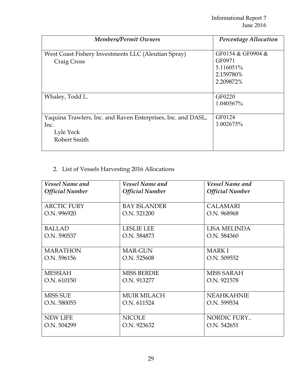| <b>Members/Permit Owners</b>                                                                      | Percentage Allocation                                              |
|---------------------------------------------------------------------------------------------------|--------------------------------------------------------------------|
| West Coast Fishery Investments LLC (Aleutian Spray)<br>Craig Cross                                | GF0154 & GF0904 &<br>GF0971<br>5.116051%<br>2.159780%<br>2.209872% |
| Whaley, Todd L.                                                                                   | GF0220<br>1.040567%                                                |
| Yaquina Trawlers, Inc. and Raven Enterprises, Inc. and DASL,<br>Inc.<br>Lyle Yeck<br>Robert Smith | GF0124<br>3.002675%                                                |

# 2. List of Vessels Harvesting 2016 Allocations

| <b>Vessel Name and</b> | <b>Vessel Name and</b> | <b>Vessel Name and</b> |
|------------------------|------------------------|------------------------|
| <b>Official Number</b> | <b>Official Number</b> | <b>Official Number</b> |
| <b>ARCTIC FURY</b>     | <b>BAY ISLANDER</b>    | <b>CALAMARI</b>        |
| O.N. 996920            | O.N. 521200            | O.N. 968968            |
| <b>BALLAD</b>          | <b>LESLIE LEE</b>      | <b>LISA MELINDA</b>    |
| O.N. 590537            | O.N. 584873            | O.N. 584360            |
| <b>MARATHON</b>        | <b>MAR-GUN</b>         | <b>MARKI</b>           |
| O.N. 596156            | O.N. 525608            | O.N. 509552            |
| <b>MESSIAH</b>         | <b>MISS BERDIE</b>     | <b>MISS SARAH</b>      |
| O.N. 610150            | O.N. 913277            | O.N. 921578            |
| <b>MISS SUE</b>        | <b>MUIR MILACH</b>     | <b>NEAHKAHNIE</b>      |
| O.N. 580055            | O.N. 611524            | O.N. 599534            |
| <b>NEW LIFE</b>        | <b>NICOLE</b>          | NORDIC FURY            |
| O.N. 504299            | O.N. 923632            | O.N. 542651            |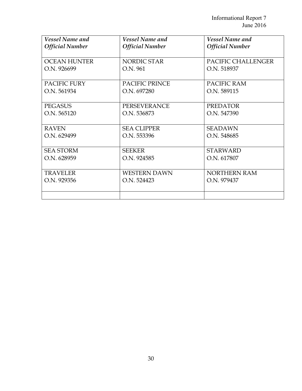| <b>Vessel Name and</b> | <b>Vessel Name and</b> | <b>Vessel Name and</b> |
|------------------------|------------------------|------------------------|
| <b>Official Number</b> | <b>Official Number</b> | <b>Official Number</b> |
|                        |                        |                        |
| <b>OCEAN HUNTER</b>    | NORDIC STAR            | PACIFIC CHALLENGER     |
| O.N. 926699            | O.N. 961               | O.N. 518937            |
|                        |                        |                        |
| <b>PACIFIC FURY</b>    | <b>PACIFIC PRINCE</b>  | PACIFIC RAM            |
| O.N. 561934            | O.N. 697280            | O.N. 589115            |
|                        |                        |                        |
| <b>PEGASUS</b>         | <b>PERSEVERANCE</b>    | <b>PREDATOR</b>        |
| O.N. 565120            | O.N. 536873            | O.N. 547390            |
|                        |                        |                        |
| <b>RAVEN</b>           | <b>SEA CLIPPER</b>     | <b>SEADAWN</b>         |
| O.N. 629499            | O.N. 553396            | O.N. 548685            |
|                        |                        |                        |
| <b>SEA STORM</b>       | <b>SEEKER</b>          | <b>STARWARD</b>        |
| O.N. 628959            | O.N. 924585            | O.N. 617807            |
|                        |                        |                        |
| <b>TRAVELER</b>        | <b>WESTERN DAWN</b>    | <b>NORTHERN RAM</b>    |
| O.N. 929356            | O.N. 524423            | O.N. 979437            |
|                        |                        |                        |
|                        |                        |                        |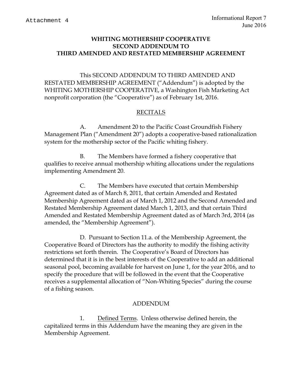### **WHITING MOTHERSHIP COOPERATIVE SECOND ADDENDUM TO THIRD AMENDED AND RESTATED MEMBERSHIP AGREEMENT**

This SECOND ADDENDUM TO THIRD AMENDED AND RESTATED MEMBERSHIP AGREEMENT ("Addendum") is adopted by the WHITING MOTHERSHIP COOPERATIVE, a Washington Fish Marketing Act nonprofit corporation (the "Cooperative") as of February 1st, 2016.

### RECITALS

A. Amendment 20 to the Pacific Coast Groundfish Fishery Management Plan ("Amendment 20") adopts a cooperative-based rationalization system for the mothership sector of the Pacific whiting fishery.

B. The Members have formed a fishery cooperative that qualifies to receive annual mothership whiting allocations under the regulations implementing Amendment 20.

C. The Members have executed that certain Membership Agreement dated as of March 8, 2011, that certain Amended and Restated Membership Agreement dated as of March 1, 2012 and the Second Amended and Restated Membership Agreement dated March 1, 2013, and that certain Third Amended and Restated Membership Agreement dated as of March 3rd, 2014 (as amended, the "Membership Agreement").

D. Pursuant to Section 11.a. of the Membership Agreement, the Cooperative Board of Directors has the authority to modify the fishing activity restrictions set forth therein. The Cooperative's Board of Directors has determined that it is in the best interests of the Cooperative to add an additional seasonal pool, becoming available for harvest on June 1, for the year 2016, and to specify the procedure that will be followed in the event that the Cooperative receives a supplemental allocation of "Non-Whiting Species" during the course of a fishing season.

### ADDENDUM

1. Defined Terms. Unless otherwise defined herein, the capitalized terms in this Addendum have the meaning they are given in the Membership Agreement.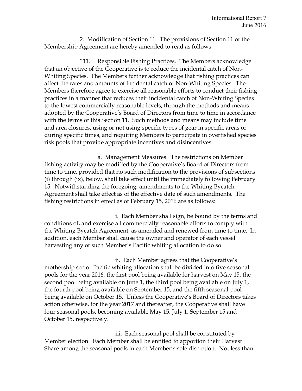2. Modification of Section 11. The provisions of Section 11 of the Membership Agreement are hereby amended to read as follows.

"11. Responsible Fishing Practices. The Members acknowledge that an objective of the Cooperative is to reduce the incidental catch of Non-Whiting Species. The Members further acknowledge that fishing practices can affect the rates and amounts of incidental catch of Non-Whiting Species. The Members therefore agree to exercise all reasonable efforts to conduct their fishing practices in a manner that reduces their incidental catch of Non-Whiting Species to the lowest commercially reasonable levels, through the methods and means adopted by the Cooperative's Board of Directors from time to time in accordance with the terms of this Section 11. Such methods and means may include time and area closures, using or not using specific types of gear in specific areas or during specific times, and requiring Members to participate in overfished species risk pools that provide appropriate incentives and disincentives.

 a. Management Measures. The restrictions on Member fishing activity may be modified by the Cooperative's Board of Directors from time to time, provided that no such modification to the provisions of subsections (i) through (ix), below, shall take effect until the immediately following February 15. Notwithstanding the foregoing, amendments to the Whiting Bycatch Agreement shall take effect as of the effective date of such amendments. The fishing restrictions in effect as of February 15, 2016 are as follows:

 i. Each Member shall sign, be bound by the terms and conditions of, and exercise all commercially reasonable efforts to comply with the Whiting Bycatch Agreement, as amended and renewed from time to time. In addition, each Member shall cause the owner and operator of each vessel harvesting any of such Member's Pacific whiting allocation to do so.

 ii. Each Member agrees that the Cooperative's mothership sector Pacific whiting allocation shall be divided into five seasonal pools for the year 2016, the first pool being available for harvest on May 15, the second pool being available on June 1, the third pool being available on July 1, the fourth pool being available on September 15, and the fifth seasonal pool being available on October 15. Unless the Cooperative's Board of Directors takes action otherwise, for the year 2017 and thereafter, the Cooperative shall have four seasonal pools, becoming available May 15, July 1, September 15 and October 15, respectively.

 iii. Each seasonal pool shall be constituted by Member election. Each Member shall be entitled to apportion their Harvest Share among the seasonal pools in each Member's sole discretion. Not less than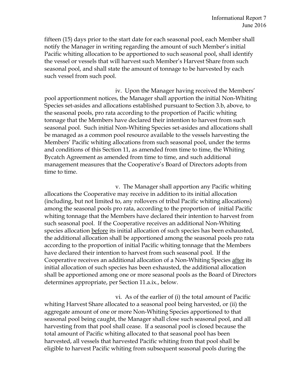fifteen (15) days prior to the start date for each seasonal pool, each Member shall notify the Manager in writing regarding the amount of such Member's initial Pacific whiting allocation to be apportioned to such seasonal pool, shall identify the vessel or vessels that will harvest such Member's Harvest Share from such seasonal pool, and shall state the amount of tonnage to be harvested by each such vessel from such pool.

 iv. Upon the Manager having received the Members' pool apportionment notices, the Manager shall apportion the initial Non-Whiting Species set-asides and allocations established pursuant to Section 3.b, above, to the seasonal pools, pro rata according to the proportion of Pacific whiting tonnage that the Members have declared their intention to harvest from such seasonal pool. Such initial Non-Whiting Species set-asides and allocations shall be managed as a common pool resource available to the vessels harvesting the Members' Pacific whiting allocations from such seasonal pool, under the terms and conditions of this Section 11, as amended from time to time, the Whiting Bycatch Agreement as amended from time to time, and such additional management measures that the Cooperative's Board of Directors adopts from time to time.

 v. The Manager shall apportion any Pacific whiting allocations the Cooperative may receive in addition to its initial allocation (including, but not limited to, any rollovers of tribal Pacific whiting allocations) among the seasonal pools pro rata, according to the proportion of initial Pacific whiting tonnage that the Members have declared their intention to harvest from such seasonal pool. If the Cooperative receives an additional Non-Whiting species allocation before its initial allocation of such species has been exhausted, the additional allocation shall be apportioned among the seasonal pools pro rata according to the proportion of initial Pacific whiting tonnage that the Members have declared their intention to harvest from such seasonal pool. If the Cooperative receives an additional allocation of a Non-Whiting Species after its initial allocation of such species has been exhausted, the additional allocation shall be apportioned among one or more seasonal pools as the Board of Directors determines appropriate, per Section 11.a.ix., below.

 vi. As of the earlier of (i) the total amount of Pacific whiting Harvest Share allocated to a seasonal pool being harvested, or (ii) the aggregate amount of one or more Non-Whiting Species apportioned to that seasonal pool being caught, the Manager shall close such seasonal pool, and all harvesting from that pool shall cease. If a seasonal pool is closed because the total amount of Pacific whiting allocated to that seasonal pool has been harvested, all vessels that harvested Pacific whiting from that pool shall be eligible to harvest Pacific whiting from subsequent seasonal pools during the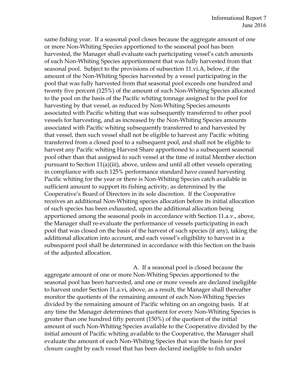same fishing year. If a seasonal pool closes because the aggregate amount of one or more Non-Whiting Species apportioned to the seasonal pool has been harvested, the Manager shall evaluate each participating vessel's catch amounts of each Non-Whiting Species apportionment that was fully harvested from that seasonal pool. Subject to the provisions of subsection 11.vi.A, below, if the amount of the Non-Whiting Species harvested by a vessel participating in the pool that was fully harvested from that seasonal pool exceeds one hundred and twenty five percent (125%) of the amount of such Non-Whiting Species allocated to the pool on the basis of the Pacific whiting tonnage assigned to the pool for harvesting by that vessel, as reduced by Non-Whiting Species amounts associated with Pacific whiting that was subsequently transferred to other pool vessels for harvesting, and as increased by the Non-Whiting Species amounts associated with Pacific whiting subsequently transferred to and harvested by that vessel, then such vessel shall not be eligible to harvest any Pacific whiting transferred from a closed pool to a subsequent pool, and shall not be eligible to harvest any Pacific whiting Harvest Share apportioned to a subsequent seasonal pool other than that assigned to such vessel at the time of initial Member election pursuant to Section 11(a)(iii), above, unless and until all other vessels operating in compliance with such 125% performance standard have ceased harvesting Pacific whiting for the year or there is Non-Whiting Species catch available in sufficient amount to support its fishing activity, as determined by the Cooperative's Board of Directors in its sole discretion. If the Cooperative receives an additional Non-Whiting species allocation before its initial allocation of such species has been exhausted, upon the additional allocation being apportioned among the seasonal pools in accordance with Section 11.a.v., above, the Manager shall re-evaluate the performance of vessels participating in each pool that was closed on the basis of the harvest of such species (if any), taking the additional allocation into account, and each vessel's eligibility to harvest in a subsequent pool shall be determined in accordance with this Section on the basis of the adjusted allocation.

A. If a seasonal pool is closed because the aggregate amount of one or more Non-Whiting Species apportioned to the seasonal pool has been harvested, and one or more vessels are declared ineligible to harvest under Section 11.a.vi, above, as a result, the Manager shall thereafter monitor the quotients of the remaining amount of each Non-Whiting Species divided by the remaining amount of Pacific whiting on an ongoing basis. If at any time the Manager determines that quotient for every Non-Whiting Species is greater than one hundred fifty percent (150%) of the quotient of the initial amount of such Non-Whiting Species available to the Cooperative divided by the initial amount of Pacific whiting available to the Cooperative, the Manager shall evaluate the amount of each Non-Whiting Species that was the basis for pool closure caught by each vessel that has been declared ineligible to fish under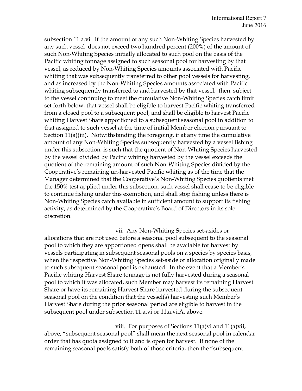subsection 11.a.vi. If the amount of any such Non-Whiting Species harvested by any such vessel does not exceed two hundred percent (200%) of the amount of such Non-Whiting Species initially allocated to such pool on the basis of the Pacific whiting tonnage assigned to such seasonal pool for harvesting by that vessel, as reduced by Non-Whiting Species amounts associated with Pacific whiting that was subsequently transferred to other pool vessels for harvesting, and as increased by the Non-Whiting Species amounts associated with Pacific whiting subsequently transferred to and harvested by that vessel, then, subject to the vessel continuing to meet the cumulative Non-Whiting Species catch limit set forth below, that vessel shall be eligible to harvest Pacific whiting transferred from a closed pool to a subsequent pool, and shall be eligible to harvest Pacific whiting Harvest Share apportioned to a subsequent seasonal pool in addition to that assigned to such vessel at the time of initial Member election pursuant to Section 11(a)(iii). Notwithstanding the foregoing, if at any time the cumulative amount of any Non-Whiting Species subsequently harvested by a vessel fishing under this subsection is such that the quotient of Non-Whiting Species harvested by the vessel divided by Pacific whiting harvested by the vessel exceeds the quotient of the remaining amount of such Non-Whiting Species divided by the Cooperative's remaining un-harvested Pacific whiting as of the time that the Manager determined that the Cooperative's Non-Whiting Species quotients met the 150% test applied under this subsection, such vessel shall cease to be eligible to continue fishing under this exemption, and shall stop fishing unless there is Non-Whiting Species catch available in sufficient amount to support its fishing activity, as determined by the Cooperative's Board of Directors in its sole discretion.

 vii. Any Non-Whiting Species set-asides or allocations that are not used before a seasonal pool subsequent to the seasonal pool to which they are apportioned opens shall be available for harvest by vessels participating in subsequent seasonal pools on a species by species basis, when the respective Non-Whiting Species set-aside or allocation originally made to such subsequent seasonal pool is exhausted. In the event that a Member's Pacific whiting Harvest Share tonnage is not fully harvested during a seasonal pool to which it was allocated, such Member may harvest its remaining Harvest Share or have its remaining Harvest Share harvested during the subsequent seasonal pool on the condition that the vessel(s) harvesting such Member's Harvest Share during the prior seasonal period are eligible to harvest in the subsequent pool under subsection 11.a.vi or 11.a.vi.A, above.

 viii. For purposes of Sections 11(a)vi and 11(a)vii, above, "subsequent seasonal pool" shall mean the next seasonal pool in calendar order that has quota assigned to it and is open for harvest. If none of the remaining seasonal pools satisfy both of those criteria, then the "subsequent